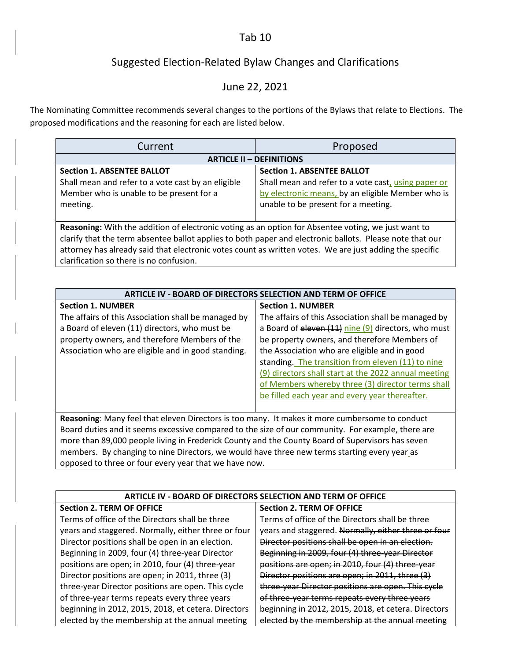### Tab 10

# Suggested Election-Related Bylaw Changes and Clarifications

## June 22, 2021

The Nominating Committee recommends several changes to the portions of the Bylaws that relate to Elections. The proposed modifications and the reasoning for each are listed below.

| Current                                                                                                  | Proposed                                            |  |  |
|----------------------------------------------------------------------------------------------------------|-----------------------------------------------------|--|--|
| <b>ARTICLE II - DEFINITIONS</b>                                                                          |                                                     |  |  |
| <b>Section 1. ABSENTEE BALLOT</b>                                                                        | <b>Section 1. ABSENTEE BALLOT</b>                   |  |  |
| Shall mean and refer to a vote cast by an eligible                                                       | Shall mean and refer to a vote cast, using paper or |  |  |
| Member who is unable to be present for a                                                                 | by electronic means, by an eligible Member who is   |  |  |
| meeting.                                                                                                 | unable to be present for a meeting.                 |  |  |
|                                                                                                          |                                                     |  |  |
| Reasoning: With the addition of electronic voting as an option for Absentee voting, we just want to      |                                                     |  |  |
| clarify that the term absentee ballot applies to both paper and electronic ballots. Please note that our |                                                     |  |  |

attorney has already said that electronic votes count as written votes. We are just adding the specific clarification so there is no confusion.

| <b>ARTICLE IV - BOARD OF DIRECTORS SELECTION AND TERM OF OFFICE</b>                               |                                                      |
|---------------------------------------------------------------------------------------------------|------------------------------------------------------|
| <b>Section 1. NUMBER</b>                                                                          | <b>Section 1. NUMBER</b>                             |
| The affairs of this Association shall be managed by                                               | The affairs of this Association shall be managed by  |
| a Board of eleven (11) directors, who must be                                                     | a Board of eleven (11) nine (9) directors, who must  |
| property owners, and therefore Members of the                                                     | be property owners, and therefore Members of         |
| Association who are eligible and in good standing.                                                | the Association who are eligible and in good         |
|                                                                                                   | standing. The transition from eleven (11) to nine    |
|                                                                                                   | (9) directors shall start at the 2022 annual meeting |
|                                                                                                   | of Members whereby three (3) director terms shall    |
|                                                                                                   | be filled each year and every year thereafter.       |
|                                                                                                   |                                                      |
| Reasoning: Many feel that eleven Directors is too many. It makes it more cumbersome to conduct    |                                                      |
| Board duties and it seems excessive compared to the size of our community. For example, there are |                                                      |

Board duties and it seems excessive compared to the size of our community. For example, there are more than 89,000 people living in Frederick County and the County Board of Supervisors has seven members. By changing to nine Directors, we would have three new terms starting every year\_as opposed to three or four every year that we have now.

| ARTICLE IV - BOARD OF DIRECTORS SELECTION AND TERM OF OFFICE |                                                     |  |
|--------------------------------------------------------------|-----------------------------------------------------|--|
| <b>Section 2. TERM OF OFFICE</b>                             | <b>Section 2. TERM OF OFFICE</b>                    |  |
| Terms of office of the Directors shall be three              | Terms of office of the Directors shall be three     |  |
| years and staggered. Normally, either three or four          | years and staggered. Normally, either three or four |  |
| Director positions shall be open in an election.             | Director positions shall be open in an election.    |  |
| Beginning in 2009, four (4) three-year Director              | Beginning in 2009, four (4) three-year Director     |  |
| positions are open; in 2010, four (4) three-year             | positions are open; in 2010, four (4) three-year    |  |
| Director positions are open; in 2011, three (3)              | Director positions are open; in 2011, three (3)     |  |
| three-year Director positions are open. This cycle           | three-year Director positions are open. This cycle  |  |
| of three-year terms repeats every three years                | of three-year terms repeats every three years       |  |
| beginning in 2012, 2015, 2018, et cetera. Directors          | beginning in 2012, 2015, 2018, et cetera. Directors |  |
| elected by the membership at the annual meeting              | elected by the membership at the annual meeting     |  |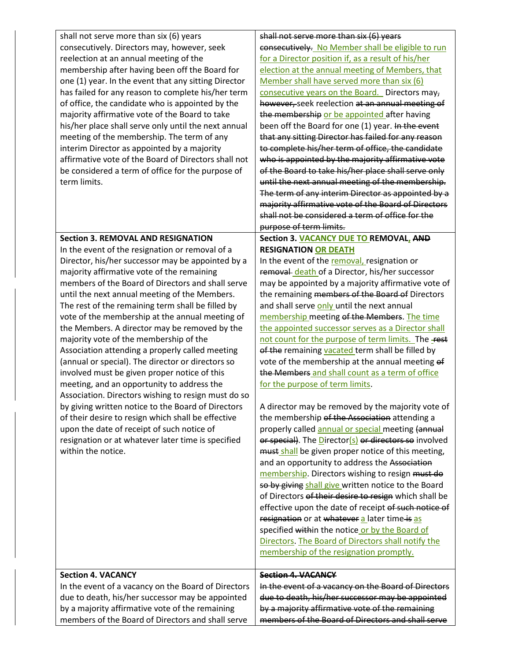| shall not serve more than six (6) years<br>consecutively. Directors may, however, seek<br>reelection at an annual meeting of the<br>membership after having been off the Board for<br>one (1) year. In the event that any sitting Director<br>has failed for any reason to complete his/her term<br>of office, the candidate who is appointed by the<br>majority affirmative vote of the Board to take<br>his/her place shall serve only until the next annual<br>meeting of the membership. The term of any<br>interim Director as appointed by a majority<br>affirmative vote of the Board of Directors shall not<br>be considered a term of office for the purpose of<br>term limits.                                                                                                                                                                                                                                                                                                                    | shall not serve more than six (6) years<br>consecutively. No Member shall be eligible to run<br>for a Director position if, as a result of his/her<br>election at the annual meeting of Members, that<br>Member shall have served more than six (6)<br>consecutive years on the Board. Directors may,<br>however, seek reelection at an annual meeting of<br>the membership or be appointed after having<br>been off the Board for one (1) year. In the event<br>that any sitting Director has failed for any reason<br>to complete his/her term of office, the candidate<br>who is appointed by the majority affirmative vote<br>of the Board to take his/her place shall serve only<br>until the next annual meeting of the membership.<br>The term of any interim Director as appointed by a<br>majority affirmative vote of the Board of Directors<br>shall not be considered a term of office for the                                                                                                                                                                                                                                                                                                                                                                                                                                                                                                                                                                 |
|-------------------------------------------------------------------------------------------------------------------------------------------------------------------------------------------------------------------------------------------------------------------------------------------------------------------------------------------------------------------------------------------------------------------------------------------------------------------------------------------------------------------------------------------------------------------------------------------------------------------------------------------------------------------------------------------------------------------------------------------------------------------------------------------------------------------------------------------------------------------------------------------------------------------------------------------------------------------------------------------------------------|----------------------------------------------------------------------------------------------------------------------------------------------------------------------------------------------------------------------------------------------------------------------------------------------------------------------------------------------------------------------------------------------------------------------------------------------------------------------------------------------------------------------------------------------------------------------------------------------------------------------------------------------------------------------------------------------------------------------------------------------------------------------------------------------------------------------------------------------------------------------------------------------------------------------------------------------------------------------------------------------------------------------------------------------------------------------------------------------------------------------------------------------------------------------------------------------------------------------------------------------------------------------------------------------------------------------------------------------------------------------------------------------------------------------------------------------------------------------------|
| <b>Section 3. REMOVAL AND RESIGNATION</b><br>In the event of the resignation or removal of a<br>Director, his/her successor may be appointed by a<br>majority affirmative vote of the remaining<br>members of the Board of Directors and shall serve<br>until the next annual meeting of the Members.<br>The rest of the remaining term shall be filled by<br>vote of the membership at the annual meeting of<br>the Members. A director may be removed by the<br>majority vote of the membership of the<br>Association attending a properly called meeting<br>(annual or special). The director or directors so<br>involved must be given proper notice of this<br>meeting, and an opportunity to address the<br>Association. Directors wishing to resign must do so<br>by giving written notice to the Board of Directors<br>of their desire to resign which shall be effective<br>upon the date of receipt of such notice of<br>resignation or at whatever later time is specified<br>within the notice. | purpose of term limits.<br>Section 3. VACANCY DUE TO REMOVAL, AND<br><b>RESIGNATION OR DEATH</b><br>In the event of the removal, resignation or<br>removal death of a Director, his/her successor<br>may be appointed by a majority affirmative vote of<br>the remaining members of the Board of Directors<br>and shall serve only until the next annual<br>membership meeting of the Members. The time<br>the appointed successor serves as a Director shall<br>not count for the purpose of term limits. The rest<br>of the remaining vacated term shall be filled by<br>vote of the membership at the annual meeting of<br>the Members and shall count as a term of office<br>for the purpose of term limits.<br>A director may be removed by the majority vote of<br>the membership of the Association attending a<br>properly called annual or special meeting (annual<br>or special). The Director(s) or directors so involved<br>must shall be given proper notice of this meeting,<br>and an opportunity to address the Association<br>membership. Directors wishing to resign must do<br>so by giving shall give written notice to the Board<br>of Directors of their desire to resign which shall be<br>effective upon the date of receipt of such notice of<br>resignation or at whatever a later time is as<br>specified within the notice or by the Board of<br>Directors. The Board of Directors shall notify the<br>membership of the resignation promptly. |
| <b>Section 4. VACANCY</b><br>In the event of a vacancy on the Board of Directors<br>due to death, his/her successor may be appointed<br>by a majority affirmative vote of the remaining<br>members of the Board of Directors and shall serve                                                                                                                                                                                                                                                                                                                                                                                                                                                                                                                                                                                                                                                                                                                                                                | <b>Section 4. VACANCY</b><br>In the event of a vacancy on the Board of Directors<br>due to death, his/her successor may be appointed<br>by a majority affirmative vote of the remaining<br>members of the Board of Directors and shall serve                                                                                                                                                                                                                                                                                                                                                                                                                                                                                                                                                                                                                                                                                                                                                                                                                                                                                                                                                                                                                                                                                                                                                                                                                               |